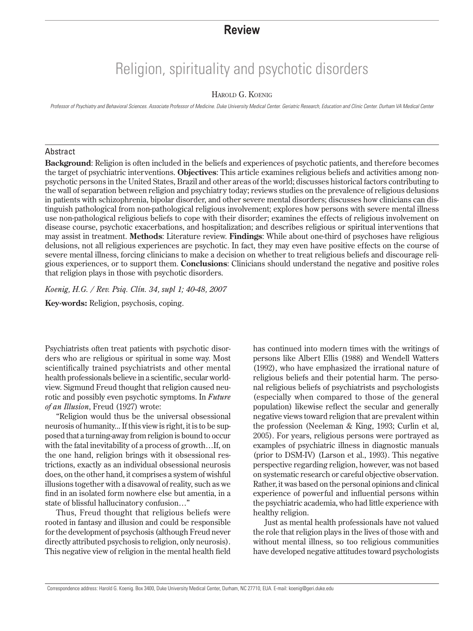# **Review**

# Religion, spirituality and psychotic disorders

# HAROLD G. KOENIG

Professor of Psychiatry and Behavioral Sciences. Associate Professor of Medicine. Duke University Medical Center. Geriatric Research, Education and Clinic Center. Durham VA Medical Center

# Abstract

**Background**: Religion is often included in the beliefs and experiences of psychotic patients, and therefore becomes the target of psychiatric interventions. **Objectives**: This article examines religious beliefs and activities among nonpsychotic persons in the United States, Brazil and other areas of the world; discusses historical factors contributing to the wall of separation between religion and psychiatry today; reviews studies on the prevalence of religious delusions in patients with schizophrenia, bipolar disorder, and other severe mental disorders; discusses how clinicians can distinguish pathological from non-pathological religious involvement; explores how persons with severe mental illness use non-pathological religious beliefs to cope with their disorder; examines the effects of religious involvement on disease course, psychotic exacerbations, and hospitalization; and describes religious or spiritual interventions that may assist in treatment. **Methods**: Literature review. **Findings**: While about one-third of psychoses have religious delusions, not all religious experiences are psychotic. In fact, they may even have positive effects on the course of severe mental illness, forcing clinicians to make a decision on whether to treat religious beliefs and discourage religious experiences, or to support them. **Conclusions**: Clinicians should understand the negative and positive roles that religion plays in those with psychotic disorders.

*Koenig, H.G. / Rev. Psiq. Clín. 34, supl 1; 40-48, 2007*

**Key-words:** Religion, psychosis, coping.

Psychiatrists often treat patients with psychotic disorders who are religious or spiritual in some way. Most scientifically trained psychiatrists and other mental health professionals believe in a scientific, secular worldview. Sigmund Freud thought that religion caused neurotic and possibly even psychotic symptoms. In *Future of an Illusion*, Freud (1927) wrote:

"Religion would thus be the universal obsessional neurosis of humanity... If this view is right, it is to be supposed that a turning-away from religion is bound to occur with the fatal inevitability of a process of growth…If, on the one hand, religion brings with it obsessional restrictions, exactly as an individual obsessional neurosis does, on the other hand, it comprises a system of wishful illusions together with a disavowal of reality, such as we find in an isolated form nowhere else but amentia, in a state of blissful hallucinatory confusion…"

Thus, Freud thought that religious beliefs were rooted in fantasy and illusion and could be responsible for the development of psychosis (although Freud never directly attributed psychosis to religion, only neurosis). This negative view of religion in the mental health field

has continued into modern times with the writings of persons like Albert Ellis (1988) and Wendell Watters (1992), who have emphasized the irrational nature of religious beliefs and their potential harm. The personal religious beliefs of psychiatrists and psychologists (especially when compared to those of the general population) likewise reflect the secular and generally negative views toward religion that are prevalent within the profession (Neeleman & King, 1993; Curlin et al, 2005). For years, religious persons were portrayed as examples of psychiatric illness in diagnostic manuals (prior to DSM-IV) (Larson et al., 1993). This negative perspective regarding religion, however, was not based on systematic research or careful objective observation. Rather, it was based on the personal opinions and clinical experience of powerful and influential persons within the psychiatric academia, who had little experience with healthy religion.

Just as mental health professionals have not valued the role that religion plays in the lives of those with and without mental illness, so too religious communities have developed negative attitudes toward psychologists

Correspondence address: Harold G. Koenig. Box 3400, Duke University Medical Center, Durham, NC 27710, EUA. E-mail: koenig@geri.duke.edu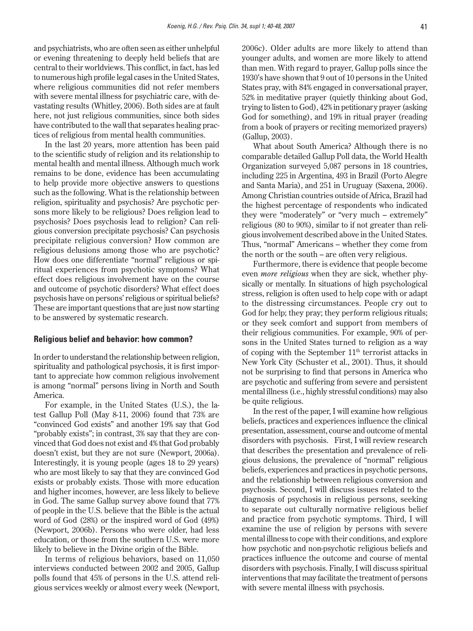and psychiatrists, who are often seen as either unhelpful or evening threatening to deeply held beliefs that are central to their worldviews. This conflict, in fact, has led to numerous high profile legal cases in the United States, where religious communities did not refer members with severe mental illness for psychiatric care, with devastating results (Whitley, 2006). Both sides are at fault here, not just religious communities, since both sides have contributed to the wall that separates healing practices of religious from mental health communities.

In the last 20 years, more attention has been paid to the scientific study of religion and its relationship to mental health and mental illness. Although much work remains to be done, evidence has been accumulating to help provide more objective answers to questions such as the following. What is the relationship between religion, spirituality and psychosis? Are psychotic persons more likely to be religious? Does religion lead to psychosis? Does psychosis lead to religion? Can religious conversion precipitate psychosis? Can psychosis precipitate religious conversion? How common are religious delusions among those who are psychotic? How does one differentiate "normal" religious or spiritual experiences from psychotic symptoms? What effect does religious involvement have on the course and outcome of psychotic disorders? What effect does psychosis have on persons' religious or spiritual beliefs? These are important questions that are just now starting to be answered by systematic research.

## **Religious belief and behavior: how common?**

In order to understand the relationship between religion, spirituality and pathological psychosis, it is first important to appreciate how common religious involvement is among "normal" persons living in North and South America.

For example, in the United States (U.S.), the latest Gallup Poll (May 8-11, 2006) found that 73% are "convinced God exists" and another 19% say that God "probably exists"; in contrast, 3% say that they are convinced that God does not exist and 4% that God probably doesn't exist, but they are not sure (Newport, 2006a). Interestingly, it is young people (ages 18 to 29 years) who are most likely to say that they are convinced God exists or probably exists. Those with more education and higher incomes, however, are less likely to believe in God. The same Gallup survey above found that 77% of people in the U.S. believe that the Bible is the actual word of God (28%) or the inspired word of God (49%) (Newport, 2006b). Persons who were older, had less education, or those from the southern U.S. were more likely to believe in the Divine origin of the Bible.

In terms of religious behaviors, based on 11,050 interviews conducted between 2002 and 2005, Gallup polls found that 45% of persons in the U.S. attend religious services weekly or almost every week (Newport,

2006c). Older adults are more likely to attend than younger adults, and women are more likely to attend than men. With regard to prayer, Gallup polls since the 1930's have shown that 9 out of 10 persons in the United States pray, with 84% engaged in conversational prayer, 52% in meditative prayer (quietly thinking about God, trying to listen to God), 42% in petitionary prayer (asking God for something), and 19% in ritual prayer (reading from a book of prayers or reciting memorized prayers) (Gallup, 2003).

What about South America? Although there is no comparable detailed Gallup Poll data, the World Health Organization surveyed 5,087 persons in 18 countries, including 225 in Argentina, 493 in Brazil (Porto Alegre and Santa Maria), and 251 in Uruguay (Saxena, 2006). Among Christian countries outside of Africa, Brazil had the highest percentage of respondents who indicated they were "moderately" or "very much – extremely" religious (80 to 90%), similar to if not greater than religious involvement described above in the United States. Thus, "normal" Americans – whether they come from the north or the south – are often very religious.

Furthermore, there is evidence that people become even *more religious* when they are sick, whether physically or mentally. In situations of high psychological stress, religion is often used to help cope with or adapt to the distressing circumstances. People cry out to God for help; they pray; they perform religious rituals; or they seek comfort and support from members of their religious communities. For example, 90% of persons in the United States turned to religion as a way of coping with the September 11<sup>th</sup> terrorist attacks in New York City (Schuster et al., 2001). Thus, it should not be surprising to find that persons in America who are psychotic and suffering from severe and persistent mental illness (i.e., highly stressful conditions) may also be quite religious.

In the rest of the paper, I will examine how religious beliefs, practices and experiences influence the clinical presentation, assessment, course and outcome of mental disorders with psychosis. First, I will review research that describes the presentation and prevalence of religious delusions, the prevalence of "normal" religious beliefs, experiences and practices in psychotic persons, and the relationship between religious conversion and psychosis. Second, I will discuss issues related to the diagnosis of psychosis in religious persons, seeking to separate out culturally normative religious belief and practice from psychotic symptoms. Third, I will examine the use of religion by persons with severe mental illness to cope with their conditions, and explore how psychotic and non-psychotic religious beliefs and practices influence the outcome and course of mental disorders with psychosis. Finally, I will discuss spiritual interventions that may facilitate the treatment of persons with severe mental illness with psychosis.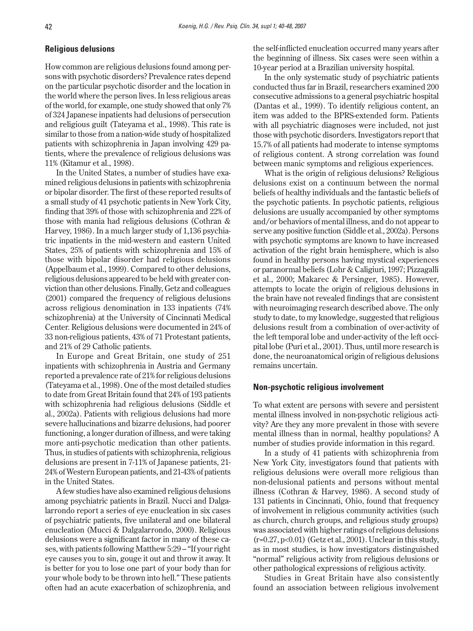# **Religious delusions**

How common are religious delusions found among persons with psychotic disorders? Prevalence rates depend on the particular psychotic disorder and the location in the world where the person lives. In less religious areas of the world, for example, one study showed that only 7% of 324 Japanese inpatients had delusions of persecution and religious guilt (Tateyama et al., 1998). This rate is similar to those from a nation-wide study of hospitalized patients with schizophrenia in Japan involving 429 patients, where the prevalence of religious delusions was 11% (Kitamur et al., 1998).

In the United States, a number of studies have examined religious delusions in patients with schizophrenia or bipolar disorder. The first of these reported results of a small study of 41 psychotic patients in New York City, finding that 39% of those with schizophrenia and 22% of those with mania had religious delusions (Cothran & Harvey, 1986). In a much larger study of 1,136 psychiatric inpatients in the mid-western and eastern United States, 25% of patients with schizophrenia and 15% of those with bipolar disorder had religious delusions (Appelbaum et al., 1999). Compared to other delusions, religious delusions appeared to be held with greater conviction than other delusions. Finally, Getz and colleagues (2001) compared the frequency of religious delusions across religious denomination in 133 inpatients (74% schizophrenia) at the University of Cincinnati Medical Center. Religious delusions were documented in 24% of 33 non-religious patients, 43% of 71 Protestant patients, and 21% of 29 Catholic patients.

In Europe and Great Britain, one study of 251 inpatients with schizophrenia in Austria and Germany reported a prevalence rate of 21% for religious delusions (Tateyama et al., 1998). One of the most detailed studies to date from Great Britain found that 24% of 193 patients with schizophrenia had religious delusions (Siddle et al., 2002a). Patients with religious delusions had more severe hallucinations and bizarre delusions, had poorer functioning, a longer duration of illness, and were taking more anti-psychotic medication than other patients. Thus, in studies of patients with schizophrenia, religious delusions are present in 7-11% of Japanese patients, 21- 24% of Western European patients, and 21-43% of patients in the United States.

A few studies have also examined religious delusions among psychiatric patients in Brazil. Nucci and Dalgalarrondo report a series of eye enucleation in six cases of psychiatric patients, five unilateral and one bilateral enucleation (Mucci & Dalgalarrondo, 2000). Religious delusions were a significant factor in many of these cases, with patients following Matthew 5:29 – "If your right eye causes you to sin, gouge it out and throw it away. It is better for you to lose one part of your body than for your whole body to be thrown into hell." These patients often had an acute exacerbation of schizophrenia, and the self-inflicted enucleation occurred many years after the beginning of illness. Six cases were seen within a 10-year period at a Brazilian university hospital.

In the only systematic study of psychiatric patients conducted thus far in Brazil, researchers examined 200 consecutive admissions to a general psychiatric hospital (Dantas et al., 1999). To identify religious content, an item was added to the BPRS-extended form. Patients with all psychiatric diagnoses were included, not just those with psychotic disorders. Investigators report that 15.7% of all patients had moderate to intense symptoms of religious content. A strong correlation was found between manic symptoms and religious experiences.

What is the origin of religious delusions? Religious delusions exist on a continuum between the normal beliefs of healthy individuals and the fantastic beliefs of the psychotic patients. In psychotic patients, religious delusions are usually accompanied by other symptoms and/or behaviors of mental illness, and do not appear to serve any positive function (Siddle et al., 2002a). Persons with psychotic symptoms are known to have increased activation of the right brain hemisphere, which is also found in healthy persons having mystical experiences or paranormal beliefs (Lohr & Caligiuri, 1997; Pizzagalli et al., 2000; Makarec & Persinger, 1985). However, attempts to locate the origin of religious delusions in the brain have not revealed findings that are consistent with neuroimaging research described above. The only study to date, to my knowledge, suggested that religious delusions result from a combination of over-activity of the left temporal lobe and under-activity of the left occipital lobe (Puri et al., 2001). Thus, until more research is done, the neuroanatomical origin of religious delusions remains uncertain.

# **Non-psychotic religious involvement**

To what extent are persons with severe and persistent mental illness involved in non-psychotic religious activity? Are they any more prevalent in those with severe mental illness than in normal, healthy populations? A number of studies provide information in this regard.

In a study of 41 patients with schizophrenia from New York City, investigators found that patients with religious delusions were overall more religious than non-delusional patients and persons without mental illness (Cothran & Harvey, 1986). A second study of 131 patients in Cincinnati, Ohio, found that frequency of involvement in religious community activities (such as church, church groups, and religious study groups) was associated with higher ratings of religious delusions  $(r=0.27, p<0.01)$  (Getz et al., 2001). Unclear in this study, as in most studies, is how investigators distinguished "normal" religious activity from religious delusions or other pathological expressions of religious activity.

Studies in Great Britain have also consistently found an association between religious involvement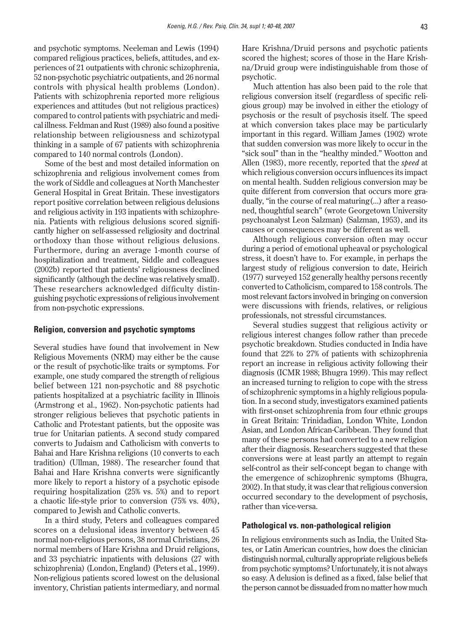and psychotic symptoms. Neeleman and Lewis (1994) compared religious practices, beliefs, attitudes, and experiences of 21 outpatients with chronic schizophrenia, 52 non-psychotic psychiatric outpatients, and 26 normal controls with physical health problems (London). Patients with schizophrenia reported more religious experiences and attitudes (but not religious practices) compared to control patients with psychiatric and medical illness. Feldman and Rust (1989) also found a positive relationship between religiousness and schizotypal thinking in a sample of 67 patients with schizophrenia compared to 140 normal controls (London).

Some of the best and most detailed information on schizophrenia and religious involvement comes from the work of Siddle and colleagues at North Manchester General Hospital in Great Britain. These investigators report positive correlation between religious delusions and religious activity in 193 inpatients with schizophrenia. Patients with religious delusions scored significantly higher on self-assessed religiosity and doctrinal orthodoxy than those without religious delusions. Furthermore, during an average 1-month course of hospitalization and treatment, Siddle and colleagues (2002b) reported that patients' religiousness declined significantly (although the decline was relatively small). These researchers acknowledged difficulty distinguishing psychotic expressions of religious involvement from non-psychotic expressions.

#### **Religion, conversion and psychotic symptoms**

Several studies have found that involvement in New Religious Movements (NRM) may either be the cause or the result of psychotic-like traits or symptoms. For example, one study compared the strength of religious belief between 121 non-psychotic and 88 psychotic patients hospitalized at a psychiatric facility in Illinois (Armstrong et al., 1962). Non-psychotic patients had stronger religious believes that psychotic patients in Catholic and Protestant patients, but the opposite was true for Unitarian patients. A second study compared converts to Judaism and Catholicism with converts to Bahai and Hare Krishna religions (10 converts to each tradition) (Ullman, 1988). The researcher found that Bahai and Hare Krishna converts were significantly more likely to report a history of a psychotic episode requiring hospitalization (25% vs. 5%) and to report a chaotic life-style prior to conversion (75% vs. 40%), compared to Jewish and Catholic converts.

In a third study, Peters and colleagues compared scores on a delusional ideas inventory between 45 normal non-religious persons, 38 normal Christians, 26 normal members of Hare Krishna and Druid religions, and 33 psychiatric inpatients with delusions (27 with schizophrenia) (London, England) (Peters et al., 1999). Non-religious patients scored lowest on the delusional inventory, Christian patients intermediary, and normal Hare Krishna/Druid persons and psychotic patients scored the highest; scores of those in the Hare Krishna/Druid group were indistinguishable from those of psychotic.

Much attention has also been paid to the role that religious conversion itself (regardless of specific religious group) may be involved in either the etiology of psychosis or the result of psychosis itself. The speed at which conversion takes place may be particularly important in this regard. William James (1902) wrote that sudden conversion was more likely to occur in the "sick soul" than in the "healthy minded." Wootton and Allen (1983), more recently, reported that the *speed* at which religious conversion occurs influences its impact on mental health. Sudden religious conversion may be quite different from conversion that occurs more gradually, "in the course of real maturing(...) after a reasoned, thoughtful search" (wrote Georgetown University psychoanalyst Leon Salzman) (Salzman, 1953), and its causes or consequences may be different as well.

Although religious conversion often may occur during a period of emotional upheaval or psychological stress, it doesn't have to. For example, in perhaps the largest study of religious conversion to date, Heirich (1977) surveyed 152 generally healthy persons recently converted to Catholicism, compared to 158 controls. The most relevant factors involved in bringing on conversion were discussions with friends, relatives, or religious professionals, not stressful circumstances.

Several studies suggest that religious activity or religious interest changes follow rather than precede psychotic breakdown. Studies conducted in India have found that 22% to 27% of patients with schizophrenia report an increase in religious activity following their diagnosis (ICMR 1988; Bhugra 1999). This may reflect an increased turning to religion to cope with the stress of schizophrenic symptoms in a highly religious population. In a second study, investigators examined patients with first-onset schizophrenia from four ethnic groups in Great Britain: Trinidadian, London White, London Asian, and London African-Caribbean. They found that many of these persons had converted to a new religion after their diagnosis. Researchers suggested that these conversions were at least partly an attempt to regain self-control as their self-concept began to change with the emergence of schizophrenic symptoms (Bhugra, 2002). In that study, it was clear that religious conversion occurred secondary to the development of psychosis, rather than vice-versa.

## **Pathological vs. non-pathological religion**

In religious environments such as India, the United States, or Latin American countries, how does the clinician distinguish normal, culturally appropriate religious beliefs from psychotic symptoms? Unfortunately, it is not always so easy. A delusion is defined as a fixed, false belief that the person cannot be dissuaded from no matter how much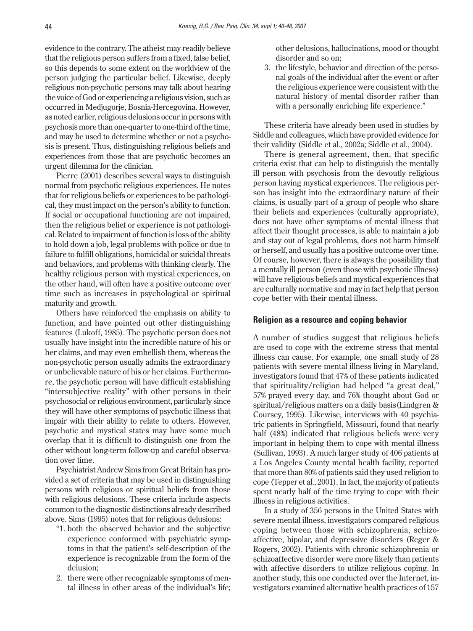evidence to the contrary. The atheist may readily believe that the religious person suffers from a fixed, false belief, so this depends to some extent on the worldview of the person judging the particular belief. Likewise, deeply religious non-psychotic persons may talk about hearing the voice of God or experiencing a religious vision, such as occurred in Medjugorje, Bosnia-Hercegovina. However, as noted earlier, religious delusions occur in persons with psychosis more than one-quarter to one-third of the time, and may be used to determine whether or not a psychosis is present. Thus, distinguishing religious beliefs and experiences from those that are psychotic becomes an urgent dilemma for the clinician.

Pierre (2001) describes several ways to distinguish normal from psychotic religious experiences. He notes that for religious beliefs or experiences to be pathological, they must impact on the person's ability to function. If social or occupational functioning are not impaired, then the religious belief or experience is not pathological. Related to impairment of function is loss of the ability to hold down a job, legal problems with police or due to failure to fulfill obligations, homicidal or suicidal threats and behaviors, and problems with thinking clearly. The healthy religious person with mystical experiences, on the other hand, will often have a positive outcome over time such as increases in psychological or spiritual maturity and growth.

Others have reinforced the emphasis on ability to function, and have pointed out other distinguishing features (Lukoff, 1985). The psychotic person does not usually have insight into the incredible nature of his or her claims, and may even embellish them, whereas the non-psychotic person usually admits the extraordinary or unbelievable nature of his or her claims. Furthermore, the psychotic person will have difficult establishing "intersubjective reality" with other persons in their psychosocial or religious environment, particularly since they will have other symptoms of psychotic illness that impair with their ability to relate to others. However, psychotic and mystical states may have some much overlap that it is difficult to distinguish one from the other without long-term follow-up and careful observation over time.

Psychiatrist Andrew Sims from Great Britain has provided a set of criteria that may be used in distinguishing persons with religious or spiritual beliefs from those with religious delusions. These criteria include aspects common to the diagnostic distinctions already described above. Sims (1995) notes that for religious delusions:

- "1. both the observed behavior and the subjective experience conformed with psychiatric symptoms in that the patient's self-description of the experience is recognizable from the form of the delusion;
- 2. there were other recognizable symptoms of mental illness in other areas of the individual's life;

other delusions, hallucinations, mood or thought disorder and so on;

3. the lifestyle, behavior and direction of the personal goals of the individual after the event or after the religious experience were consistent with the natural history of mental disorder rather than with a personally enriching life experience."

These criteria have already been used in studies by Siddle and colleagues, which have provided evidence for their validity (Siddle et al., 2002a; Siddle et al., 2004).

There is general agreement, then, that specific criteria exist that can help to distinguish the mentally ill person with psychosis from the devoutly religious person having mystical experiences. The religious person has insight into the extraordinary nature of their claims, is usually part of a group of people who share their beliefs and experiences (culturally appropriate), does not have other symptoms of mental illness that affect their thought processes, is able to maintain a job and stay out of legal problems, does not harm himself or herself, and usually has a positive outcome over time. Of course, however, there is always the possibility that a mentally ill person (even those with psychotic illness) will have religious beliefs and mystical experiences that are culturally normative and may in fact help that person cope better with their mental illness.

#### **Religion as a resource and coping behavior**

A number of studies suggest that religious beliefs are used to cope with the extreme stress that mental illness can cause. For example, one small study of 28 patients with severe mental illness living in Maryland, investigators found that 47% of these patients indicated that spirituality/religion had helped "a great deal," 57% prayed every day, and 76% thought about God or spiritual/religious matters on a daily basis(Lindgren & Coursey, 1995). Likewise, interviews with 40 psychiatric patients in Springfield, Missouri, found that nearly half (48%) indicated that religious beliefs were very important in helping them to cope with mental illness (Sullivan, 1993). A much larger study of 406 patients at a Los Angeles County mental health facility, reported that more than 80% of patients said they used religion to cope (Tepper et al., 2001). In fact, the majority of patients spent nearly half of the time trying to cope with their illness in religious activities.

In a study of 356 persons in the United States with severe mental illness, investigators compared religious coping between those with schizophrenia, schizoaffective, bipolar, and depressive disorders (Reger & Rogers, 2002). Patients with chronic schizophrenia or schizoaffective disorder were more likely than patients with affective disorders to utilize religious coping. In another study, this one conducted over the Internet, investigators examined alternative health practices of 157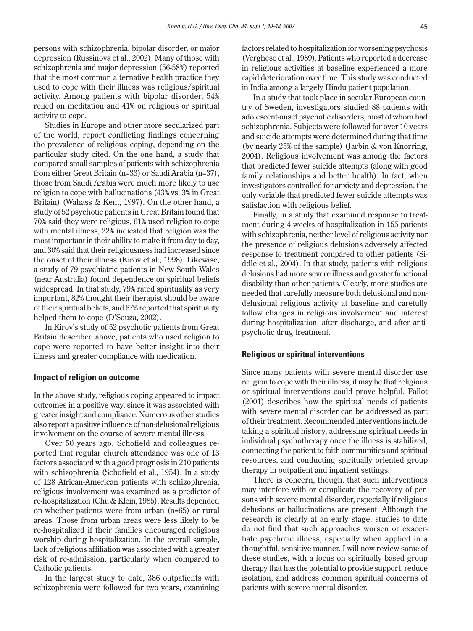persons with schizophrenia, bipolar disorder, or major depression (Russinova et al., 2002). Many of those with schizophrenia and major depression (56-58%) reported that the most common alternative health practice they used to cope with their illness was religious/spiritual activity. Among patients with bipolar disorder, 54% relied on meditation and 41% on religious or spiritual activity to cope.

Studies in Europe and other more secularized part of the world, report conflicting findings concerning the prevalence of religious coping, depending on the particular study cited. On the one hand, a study that compared small samples of patients with schizophrenia from either Great Britain (n=33) or Saudi Arabia (n=37), those from Saudi Arabia were much more likely to use religion to cope with hallucinations (43% vs. 3% in Great Britain) (Wahass & Kent, 1997). On the other hand, a study of 52 psychotic patients in Great Britain found that 70% said they were religious, 61% used religion to cope with mental illness, 22% indicated that religion was the most important in their ability to make it from day to day, and 30% said that their religiousness had increased since the onset of their illness (Kirov et al., 1998). Likewise, a study of 79 psychiatric patients in New South Wales (near Australia) found dependence on spiritual beliefs widespread. In that study, 79% rated spirituality as very important, 82% thought their therapist should be aware of their spiritual beliefs, and 67% reported that spirituality helped them to cope (D'Souza, 2002).

In Kirov's study of 52 psychotic patients from Great Britain described above, patients who used religion to cope were reported to have better insight into their illness and greater compliance with medication.

#### **Impact of religion on outcome**

In the above study, religious coping appeared to impact outcomes in a positive way, since it was associated with greater insight and compliance. Numerous other studies also report a positive influence of non-delusional religious involvement on the course of severe mental illness.

Over 50 years ago, Schofield and colleagues reported that regular church attendance was one of 13 factors associated with a good prognosis in 210 patients with schizophrenia (Schofield et al., 1954). In a study of 128 African-American patients with schizophrenia, religious involvement was examined as a predictor of re-hospitalization (Chu & Klein, 1985). Results depended on whether patients were from urban (n=65) or rural areas. Those from urban areas were less likely to be re-hospitalized if their families encouraged religious worship during hospitalization. In the overall sample, lack of religious affiliation was associated with a greater risk of re-admission, particularly when compared to Catholic patients.

In the largest study to date, 386 outpatients with schizophrenia were followed for two years, examining factors related to hospitalization for worsening psychosis (Verghese et al., 1989).Patients who reported a decrease in religious activities at baseline experienced a more rapid deterioration over time. This study was conducted in India among a largely Hindu patient population.

In a study that took place in secular European country of Sweden, investigators studied 88 patients with adolescent-onset psychotic disorders, most of whom had schizophrenia. Subjects were followed for over 10 years and suicide attempts were determined during that time (by nearly 25% of the sample) (Jarbin & von Knorring, 2004). Religious involvement was among the factors that predicted fewer suicide attempts (along with good family relationships and better health). In fact, when investigators controlled for anxiety and depression, the only variable that predicted fewer suicide attempts was satisfaction with religious belief.

Finally, in a study that examined response to treatment during 4 weeks of hospitalization in 155 patients with schizophrenia, neither level of religious activity nor the presence of religious delusions adversely affected response to treatment compared to other patients (Siddle et al., 2004). In that study, patients with religious delusions had more severe illness and greater functional disability than other patients. Clearly, more studies are needed that carefully measure both delusional and nondelusional religious activity at baseline and carefully follow changes in religious involvement and interest during hospitalization, after discharge, and after antipsychotic drug treatment.

#### **Religious or spiritual interventions**

Since many patients with severe mental disorder use religion to cope with their illness, it may be that religious or spiritual interventions could prove helpful. Fallot (2001) describes how the spiritual needs of patients with severe mental disorder can be addressed as part of their treatment. Recommended interventions include taking a spiritual history, addressing spiritual needs in individual psychotherapy once the illness is stabilized, connecting the patient to faith communities and spiritual resources, and conducting spiritually oriented group therapy in outpatient and inpatient settings.

There is concern, though, that such interventions may interfere with or complicate the recovery of persons with severe mental disorder, especially if religious delusions or hallucinations are present. Although the research is clearly at an early stage, studies to date do not find that such approaches worsen or exacerbate psychotic illness, especially when applied in a thoughtful, sensitive manner. I will now review some of these studies, with a focus on spiritually based group therapy that has the potential to provide support, reduce isolation, and address common spiritual concerns of patients with severe mental disorder.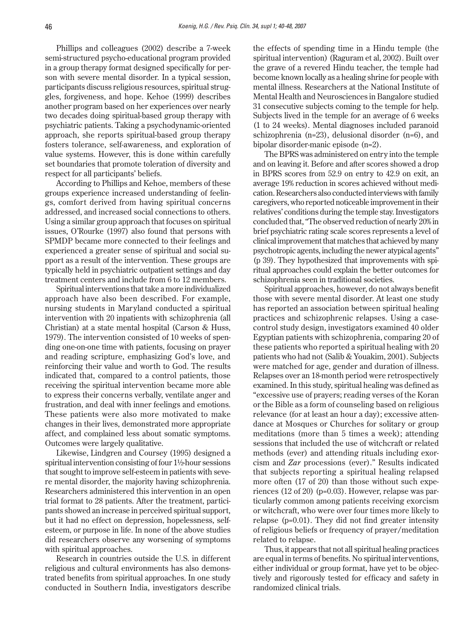Phillips and colleagues (2002) describe a 7-week semi-structured psycho-educational program provided in a group therapy format designed specifically for person with severe mental disorder. In a typical session, participants discuss religious resources, spiritual struggles, forgiveness, and hope. Kehoe (1999) describes another program based on her experiences over nearly two decades doing spiritual-based group therapy with psychiatric patients. Taking a psychodynamic-oriented approach, she reports spiritual-based group therapy fosters tolerance, self-awareness, and exploration of value systems. However, this is done within carefully set boundaries that promote toleration of diversity and respect for all participants' beliefs.

According to Phillips and Kehoe, members of these groups experience increased understanding of feelings, comfort derived from having spiritual concerns addressed, and increased social connections to others. Using a similar group approach that focuses on spiritual issues, O'Rourke (1997) also found that persons with SPMDP became more connected to their feelings and experienced a greater sense of spiritual and social support as a result of the intervention. These groups are typically held in psychiatric outpatient settings and day treatment centers and include from 6 to 12 members.

Spiritual interventions that take a more individualized approach have also been described. For example, nursing students in Maryland conducted a spiritual intervention with 20 inpatients with schizophrenia (all Christian) at a state mental hospital (Carson & Huss, 1979). The intervention consisted of 10 weeks of spending one-on-one time with patients, focusing on prayer and reading scripture, emphasizing God's love, and reinforcing their value and worth to God. The results indicated that, compared to a control patients, those receiving the spiritual intervention became more able to express their concerns verbally, ventilate anger and frustration, and deal with inner feelings and emotions. These patients were also more motivated to make changes in their lives, demonstrated more appropriate affect, and complained less about somatic symptoms. Outcomes were largely qualitative.

Likewise, Lindgren and Coursey (1995) designed a spiritual intervention consisting of four 1½-hour sessions that sought to improve self-esteem in patients with severe mental disorder, the majority having schizophrenia. Researchers administered this intervention in an open trial format to 28 patients. After the treatment, participants showed an increase in perceived spiritual support, but it had no effect on depression, hopelessness, selfesteem, or purpose in life. In none of the above studies did researchers observe any worsening of symptoms with spiritual approaches.

Research in countries outside the U.S. in different religious and cultural environments has also demonstrated benefits from spiritual approaches. In one study conducted in Southern India, investigators describe the effects of spending time in a Hindu temple (the spiritual intervention) (Raguram et al, 2002). Built over the grave of a revered Hindu teacher, the temple had become known locally as a healing shrine for people with mental illness. Researchers at the National Institute of Mental Health and Neurosciences in Bangalore studied 31 consecutive subjects coming to the temple for help. Subjects lived in the temple for an average of 6 weeks (1 to 24 weeks). Mental diagnoses included paranoid schizophrenia (n=23), delusional disorder (n=6), and bipolar disorder-manic episode (n=2).

The BPRS was administered on entry into the temple and on leaving it. Before and after scores showed a drop in BPRS scores from 52.9 on entry to 42.9 on exit, an average 19% reduction in scores achieved without medication. Researchers also conducted interviews with family caregivers, who reported noticeable improvement in their relatives' conditions during the temple stay. Investigators concluded that, "The observed reduction of nearly 20% in brief psychiatric rating scale scores represents a level of clinical improvement that matches that achieved by many psychotropic agents, including the newer atypical agents" (p 39). They hypothesized that improvements with spiritual approaches could explain the better outcomes for schizophrenia seen in traditional societies.

Spiritual approaches, however, do not always benefit those with severe mental disorder. At least one study has reported an association between spiritual healing practices and schizophrenic relapses. Using a casecontrol study design, investigators examined 40 older Egyptian patients with schizophrenia, comparing 20 of these patients who reported a spiritual healing with 20 patients who had not (Salib & Youakim, 2001). Subjects were matched for age, gender and duration of illness. Relapses over an 18-month period were retrospectively examined. In this study, spiritual healing was defined as "excessive use of prayers; reading verses of the Koran or the Bible as a form of counseling based on religious relevance (for at least an hour a day); excessive attendance at Mosques or Churches for solitary or group meditations (more than 5 times a week); attending sessions that included the use of witchcraft or related methods (ever) and attending rituals including exorcism and *Zar* processions (ever)." Results indicated that subjects reporting a spiritual healing relapsed more often (17 of 20) than those without such experiences (12 of 20) (p=0.03). However, relapse was particularly common among patients receiving exorcism or witchcraft, who were over four times more likely to relapse (p=0.01). They did not find greater intensity of religious beliefs or frequency of prayer/meditation related to relapse.

Thus, it appears that not all spiritual healing practices are equal in terms of benefits. No spiritual interventions, either individual or group format, have yet to be objectively and rigorously tested for efficacy and safety in randomized clinical trials.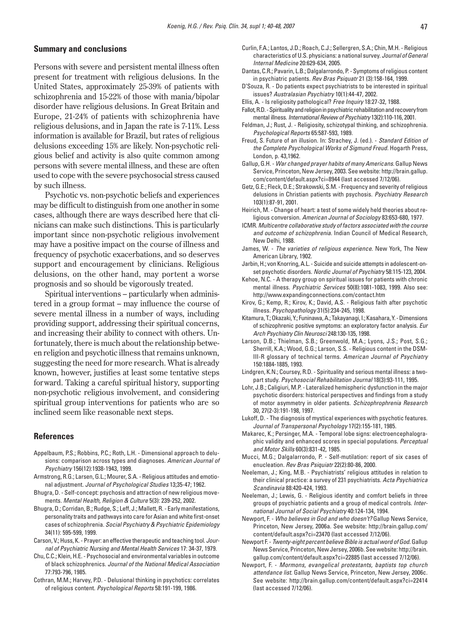# **Summary and conclusions**

Persons with severe and persistent mental illness often present for treatment with religious delusions. In the United States, approximately 25-39% of patients with schizophrenia and 15-22% of those with mania/bipolar disorder have religious delusions. In Great Britain and Europe, 21-24% of patients with schizophrenia have religious delusions, and in Japan the rate is 7-11%. Less information is available for Brazil, but rates of religious delusions exceeding 15% are likely. Non-psychotic religious belief and activity is also quite common among persons with severe mental illness, and these are often used to cope with the severe psychosocial stress caused by such illness.

Psychotic vs. non-psychotic beliefs and experiences may be difficult to distinguish from one another in some cases, although there are ways described here that clinicians can make such distinctions. This is particularly important since non-psychotic religious involvement may have a positive impact on the course of illness and frequency of psychotic exacerbations, and so deserves support and encouragement by clinicians. Religious delusions, on the other hand, may portent a worse prognosis and so should be vigorously treated.

Spiritual interventions – particularly when administered in a group format – may influence the course of severe mental illness in a number of ways, including providing support, addressing their spiritual concerns, and increasing their ability to connect with others. Unfortunately, there is much about the relationship between religion and psychotic illness that remains unknown, suggesting the need for more research. What is already known, however, justifies at least some tentative steps forward. Taking a careful spiritual history, supporting non-psychotic religious involvement, and considering spiritual group interventions for patients who are so inclined seem like reasonable next steps.

#### **References**

- Appelbaum, P.S.; Robbins, P.C.; Roth, L.H. Dimensional approach to delusions: comparison across types and diagnoses. American Journal of Psychiatry 156(12):1938-1943, 1999.
- Armstrong, R.G.; Larsen, G.L.; Mourer, S.A. Religious attitudes and emotional adjustment. Journal of Psychological Studies 13;35-47; 1962.
- Bhugra, D. Self-concept: psychosis and attraction of new religious movements. Mental Health, Religion & Culture 5(3): 239-252, 2002.
- Bhugra, D.; Corridan, B.; Rudge, S.; Leff, J.; Mallett, R. Early manifestations, personality traits and pathways into care for Asian and white first-onset cases of schizophrenia. Social Psychiatry & Psychiatric Epidemiology 34(11): 595-599, 1999.
- Carson, V.; Huss, K. Prayer: an effective therapeutic and teaching tool. Journal of Psychiatric Nursing and Mental Health Services 17: 34-37, 1979.
- Chu, C.C.; Klein, H.E. Psychosocial and environmental variables in outcome of black schizophrenics. Journal of the National Medical Association 77:793-796, 1985.
- Cothran, M.M.; Harvey, P.D. Delusional thinking in psychotics: correlates of religious content. Psychological Reports 58:191-199, 1986.
- Curlin, F.A.; Lantos, J.D.; Roach, C.J.; Sellergren, S.A.; Chin, M.H. Religious characteristics of U.S. physicians: a national survey. Journal of General Internal Medicine 20:629-634, 2005.
- Dantas, C.R.; Pavarin, L.B.; Dalgalarrondo, P. Symptoms of religious content in psychiatric patients. Rev Bras Psiquatr 21 (3):158-164, 1999.
- D'Souza, R. Do patients expect psychiatrists to be interested in spiritual issues? Australasian Psychiatry 10(1):44-47, 2002.
- Ellis, A. Is religiosity pathological? Free Inquiry 18:27-32, 1988.
- Fallot, R.D. Spirituality and religion in psychiatric rehabilitation and recovery from mental illness. International Review of Psychiatry 13(2):110-116, 2001.
- Feldman, J.; Rust, J. Religiosity, schizotypal thinking, and schizophrenia. Psychological Reports 65:587-593, 1989.
- Freud, S. Future of an illusion. In: Strachey, J. (ed.). Standard Edition of the Complete Psychological Works of Sigmund Freud. Hogarth Press, London, p. 43,1962.
- Gallup, G.H. War changed prayer habits of many Americans. Gallup News Service, Princeton, New Jersey, 2003. See website: http://brain.gallup. com/content/default.aspx?ci=8944 (last accessed 7/12/06).
- Getz, G.E.; Fleck, D.E.; Strakowski, S.M. Frequency and severity of religious delusions in Christian patients with psychosis. Psychiatry Research 103(1):87-91, 2001.
- Heirich, M. Change of heart: a test of some widely held theories about religious conversion. American Journal of Sociology 83:653-680, 1977.
- ICMR. Multicentre collaborative study of factors associated with the course and outcome of schizophrenia. Indian Council of Medical Research, New Delhi, 1988.
- James, W. The varieties of religious experience. New York, The New American Library, 1902.
- Jarbin, H.; von Knorring, A.L. Suicide and suicide attempts in adolescent-onset psychotic disorders. Nordic Journal of Psychiatry 58:115-123, 2004.
- Kehoe, N.C. A therapy group on spiritual issues for patients with chronic mental illness. Psychiatric Services 50(8):1081-1083, 1999. Also see: http://www.expandingconnections.com/contact.htm
- Kirov, G.; Kemp, R.; Kirov, K.; David, A.S. Religious faith after psychotic illness. Psychopathology 31(5):234-245, 1998.
- Kitamura, T.; Okazaki, Y.; Funinawa, A.; Takayanagi, I.; Kasahara, Y. Dimensions of schizophrenic positive symptoms: an exploratory factor analysis. Eur Arch Psychiatry Clin Neurosci 248:130-135, 1998.
- Larson, D.B.; Thielman, S.B.; Greenwold, M.A.; Lyons, J.S.; Post, S.G.; Sherrill, K.A.; Wood, G.G.; Larson, S.S. - Religious content in the DSM-III-R glossary of technical terms. American Journal of Psychiatry 150:1884-1885, 1993.
- Lindgren, K.N.; Coursey, R.D. Spirituality and serious mental illness: a twopart study. Psychosocial Rehabilitation Journal 18(3):93-111, 1995.
- Lohr, J.B.; Caligiuri, M.P. Lateralized hemispheric dysfunction in the major psychotic disorders: historical perspectives and findings from a study of motor asymmetry in older patients. Schizophrophrenia Research 30, 27(2-3):191-198, 1997.
- Lukoff, D. The diagnosis of mystical experiences with psychotic features. Journal of Transpersonal Psychology 17(2):155-181, 1985.
- Makarec, K.; Persinger, M.A. Temporal lobe signs: electroencephalographic validity and enhanced scores in special populations. Perceptual and Motor Skills 60(3):831-42, 1985.
- Mucci, M.G.; Dalgalarrondo, P. Self-mutilation: report of six cases of enucleation. Rev Bras Psiquiatr 22(2):80-86, 2000.
- Neeleman, J.; King, M.B. Psychiatrists' religious attitudes in relation to their clinical practice: a survey of 231 psychiatrists. Acta Psychiatrica Scandinavia 88:420-424, 1993.
- Neeleman, J.; Lewis, G. Religious identity and comfort beliefs in three groups of psychiatric patients and a group of medical controls. International Journal of Social Psychiatry 40:124-134, 1994.
- Newport, F. Who believes in God and who doesn't? Gallup News Service, Princeton, New Jersey, 2006a. See website: http://brain.gallup.com/ content/default.aspx?ci=23470 (last accessed 7/12/06).
- Newport F. Twenty-eight percent believe Bible is actual word of God. Gallup News Service, Princeton, New Jersey, 2006b. See website: http://brain. gallup.com/content/default.aspx?ci=22885 (last accessed 7/12/06).
- Newport, F. Mormons, evangelical protestants, baptists top church attendance list. Gallup News Service, Princeton, New Jersey, 2006c. See website: http://brain.gallup.com/content/default.aspx?ci=22414 (last accessed 7/12/06).